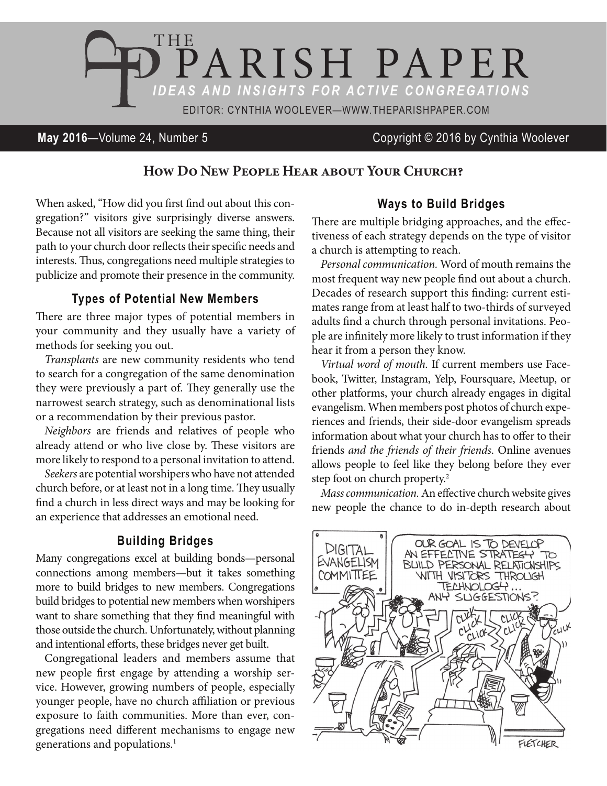

## **May 2016**—Volume 24, Number 5 Copyright © 2016 by Cynthia Woolever

## **How Do New People Hear about Your Church?**

When asked, "How did you first find out about this congregation?" visitors give surprisingly diverse answers. Because not all visitors are seeking the same thing, their path to your church door reflects their specific needs and interests. Thus, congregations need multiple strategies to publicize and promote their presence in the community.

#### **Types of Potential New Members**

here are three major types of potential members in your community and they usually have a variety of methods for seeking you out.

Transplants are new community residents who tend to search for a congregation of the same denomination they were previously a part of. They generally use the narrowest search strategy, such as denominational lists or a recommendation by their previous pastor.

Neighbors are friends and relatives of people who already attend or who live close by. These visitors are more likely to respond to a personal invitation to attend.

Seekers are potential worshipers who have not attended church before, or at least not in a long time. They usually find a church in less direct ways and may be looking for an experience that addresses an emotional need.

### **Building Bridges**

Many congregations excel at building bonds—personal connections among members—but it takes something more to build bridges to new members. Congregations build bridges to potential new members when worshipers want to share something that they find meaningful with those outside the church. Unfortunately, without planning and intentional efforts, these bridges never get built.

Congregational leaders and members assume that new people first engage by attending a worship service. However, growing numbers of people, especially younger people, have no church affiliation or previous exposure to faith communities. More than ever, congregations need diferent mechanisms to engage new generations and populations.<sup>1</sup>

#### **Ways to Build Bridges**

here are multiple bridging approaches, and the efectiveness of each strategy depends on the type of visitor a church is attempting to reach.

Personal communication. Word of mouth remains the most frequent way new people find out about a church. Decades of research support this finding: current estimates range from at least half to two-thirds of surveyed adults find a church through personal invitations. People are infinitely more likely to trust information if they hear it from a person they know.

Virtual word of mouth. If current members use Facebook, Twitter, Instagram, Yelp, Foursquare, Meetup, or other platforms, your church already engages in digital evangelism. When members post photos of church experiences and friends, their side-door evangelism spreads information about what your church has to offer to their friends and the friends of their friends. Online avenues allows people to feel like they belong before they ever step foot on church property.<sup>2</sup>

Mass communication. An efective church website gives new people the chance to do in-depth research about